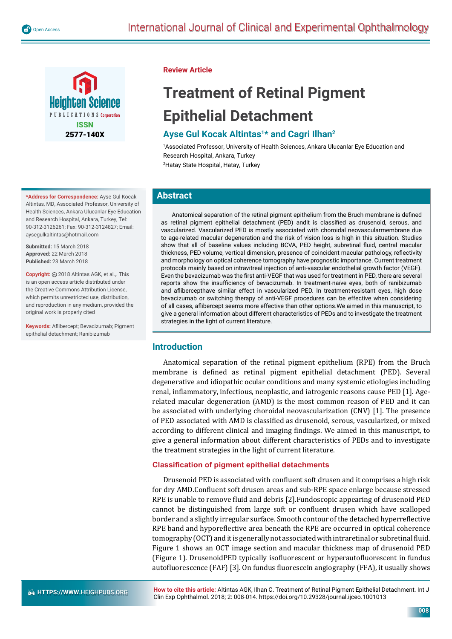

**\*Address for Correspondence:** Ayse Gul Kocak Altintas, MD, Associated Professor, University of Health Sciences, Ankara Ulucanlar Eye Education and Research Hospital, Ankara, Turkey, Tel: 90-312-3126261; Fax: 90-312-3124827; Email: aysegulkaltintas@hotmail.com

**Submitted:** 15 March 2018 **Approved:** 22 March 2018 **Published:** 23 March 2018

**Copyright:** 2018 Altintas AGK, et al.,. This is an open access article distributed under the Creative Commons Attribution License, which permits unrestricted use, distribution, and reproduction in any medium, provided the original work is properly cited

**Keywords:** Aflibercept: Bevacizumab: Pigment epithelial detachment; Ranibizumab

## **Review Article**

# **Treatment of Retinal Pigment Epithelial Detachment**

# **Ayse Gul Kocak Altintas1\* and Cagri Ilhan2**

1 Associated Professor, University of Health Sciences, Ankara Ulucanlar Eye Education and Research Hospital, Ankara, Turkey 2 Hatay State Hospital, Hatay, Turkey

## **Abstract**

Anatomical separation of the retinal pigment epithelium from the Bruch membrane is defined as retinal pigment epithelial detachment (PED) andit is classified as drusenoid, serous, and vascularized. Vascularized PED is mostly associated with choroidal neovascularmembrane due to age-related macular degeneration and the risk of vision loss is high in this situation. Studies show that all of baseline values including BCVA, PED height, subretinal fluid, central macular thickness, PED volume, vertical dimension, presence of coincident macular pathology, reflectivity and morphology on optical coherence tomography have prognostic importance. Current treatment protocols mainly based on intravitreal injection of anti-vascular endothelial growth factor (VEGF). Even the bevacizumab was the first anti-VEGF that was used for treatment in PED, there are several reports show the insufficiency of bevacizumab. In treatment-naïve eyes, both of ranibizumab and aflibercepthave similar effect in vascularized PED. In treatment-resistant eyes, high dose bevacizumab or switching therapy of anti-VEGF procedures can be effective when considering of all cases, aflibercept seems more effective than other options. We aimed in this manuscript, to give a general information about different characteristics of PEDs and to investigate the treatment strategies in the light of current literature.

## **Introduction**

Anatomical separation of the retinal pigment epithelium (RPE) from the Bruch membrane is defined as retinal pigment epithelial detachment (PED). Several degenerative and idiopathic ocular conditions and many systemic etiologies including renal, inflammatory, infectious, neoplastic, and iatrogenic reasons cause PED [1]. Agerelated macular degeneration (AMD) is the most common reason of PED and it can be associated with underlying choroidal neovascularization (CNV) [1]. The presence of PED associated with AMD is classified as drusenoid, serous, vascularized, or mixed according to different clinical and imaging findings. We aimed in this manuscript, to give a general information about different characteristics of PEDs and to investigate the treatment strategies in the light of current literature.

## **Classification of pigment epithelial detachments**

Drusenoid PED is associated with confluent soft drusen and it comprises a high risk for dry AMD.Confluent soft drusen areas and sub-RPE space enlarge because stressed RPE is unable to remove fluid and debris [2]. Fundoscopic appearing of drusenoid PED cannot be distinguished from large soft or confluent drusen which have scalloped border and a slightly irregular surface. Smooth contour of the detached hyperreflective RPE band and hyporeflective area beneath the RPE are occurred in optical coherence tomography (OCT) and it is generally not associated with intraretinal or subretinal fluid. Figure 1 shows an OCT image section and macular thickness map of drusenoid PED (Figure 1). DrusenoidPED typically isofluorescent or hyperautofluorescent in fundus autofluorescence (FAF) [3]. On fundus fluorescein angiography (FFA), it usually shows

**How to cite this article:** Altintas AGK, Ilhan C. Treatment of Retinal Pigment Epithelial Detachment. Int J Clin Exp Ophthalmol. 2018; 2: 008-014. https://doi.org/10.29328/journal.ijceo.1001013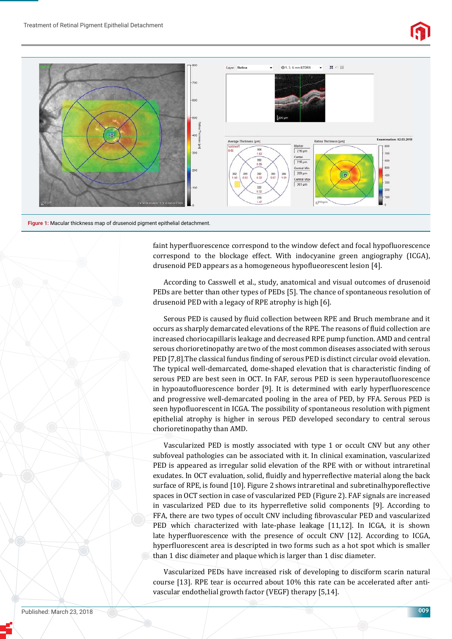

**Figure 1:** Macular thickness map of drusenoid pigment epithelial detachment.

faint hyperfluorescence correspond to the window defect and focal hypofluorescence correspond to the blockage effect. With indocyanine green angiography (ICGA), drusenoid PED appears as a homogeneous hypoflueorescent lesion [4].

According to Casswell et al., study, anatomical and visual outcomes of drusenoid PEDs are better than other types of PEDs [5]. The chance of spontaneous resolution of drusenoid PED with a legacy of RPE atrophy is high [6].

Serous PED is caused by fluid collection between RPE and Bruch membrane and it occurs as sharply demarcated elevations of the RPE. The reasons of fluid collection are increased choriocapillaris leakage and decreased RPE pump function. AMD and central serous chorioretinopathy are two of the most common diseases associated with serous PED [7,8]. The classical fundus finding of serous PED is distinct circular ovoid elevation. The typical well-demarcated, dome-shaped elevation that is characteristic finding of serous PED are best seen in OCT. In FAF, serous PED is seen hyperautofluorescence in hypoautofluorescence border [9]. It is determined with early hyperfluorescence and progressive well-demarcated pooling in the area of PED, by FFA. Serous PED is seen hypofluorescent in ICGA. The possibility of spontaneous resolution with pigment epithelial atrophy is higher in serous PED developed secondary to central serous chorioretinopathy than AMD.

Vascularized PED is mostly associated with type 1 or occult CNV but any other subfoveal pathologies can be associated with it. In clinical examination, vascularized PED is appeared as irregular solid elevation of the RPE with or without intraretinal exudates. In OCT evaluation, solid, fluidly and hyperreflective material along the back surface of RPE, is found [10]. Figure 2 shows intraretinal and subretinalhyporeflective spaces in OCT section in case of vascularized PED (Figure 2). FAF signals are increased in vascularized PED due to its hyperrefletive solid components [9]. According to FFA, there are two types of occult CNV including fibrovascular PED and vascularized PED which characterized with late-phase leakage [11,12]. In ICGA, it is shown late hyperfluorescence with the presence of occult CNV [12]. According to ICGA, hyperfluorescent area is descripted in two forms such as a hot spot which is smaller than 1 disc diameter and plaque which is larger than 1 disc diameter.

Vascularized PEDs have increased risk of developing to disciform scarin natural course [13]. RPE tear is occurred about 10% this rate can be accelerated after antivascular endothelial growth factor (VEGF) therapy [5,14].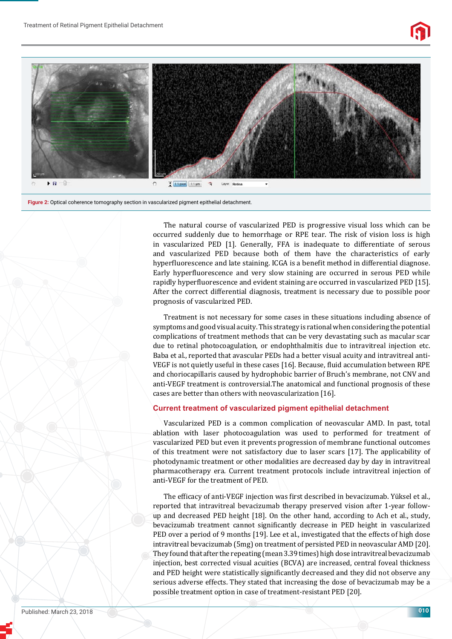

**Figure 2:** Optical coherence tomography section in vascularized pigment epithelial detachment.

The natural course of vascularized PED is progressive visual loss which can be occurred suddenly due to hemorrhage or RPE tear. The risk of vision loss is high in vascularized PED [1]. Generally, FFA is inadequate to differentiate of serous and vascularized PED because both of them have the characteristics of early hyperfluorescence and late staining. ICGA is a benefit method in differential diagnose. Early hyperfluorescence and very slow staining are occurred in serous PED while rapidly hyperfluorescence and evident staining are occurred in vascularized PED [15]. After the correct differential diagnosis, treatment is necessary due to possible poor prognosis of vascularized PED.

Treatment is not necessary for some cases in these situations including absence of symptoms and good visual acuity. This strategy is rational when considering the potential complications of treatment methods that can be very devastating such as macular scar due to retinal photocoagulation, or endophthalmitis due to intravitreal injection etc. Baba et al., reported that avascular PEDs had a better visual acuity and intravitreal anti-VEGF is not quietly useful in these cases [16]. Because, fluid accumulation between RPE and choriocapillaris caused by hydrophobic barrier of Bruch's membrane, not CNV and anti-VEGF treatment is controversial.The anatomical and functional prognosis of these cases are better than others with neovascularization [16].

#### **Current treatment of vascularized pigment epithelial detachment**

Vascularized PED is a common complication of neovascular AMD. In past, total ablation with laser photocoagulation was used to performed for treatment of vascularized PED but even it prevents progression of membrane functional outcomes of this treatment were not satisfactory due to laser scars [17]. The applicability of photodynamic treatment or other modalities are decreased day by day in intravitreal pharmacotherapy era. Current treatment protocols include intravitreal injection of anti-VEGF for the treatment of PED.

The efficacy of anti-VEGF injection was first described in bevacizumab. Yüksel et al., reported that intravitreal bevacizumab therapy preserved vision after 1-year followup and decreased PED height [18]. On the other hand, according to Ach et al., study, bevacizumab treatment cannot significantly decrease in PED height in vascularized PED over a period of 9 months [19]. Lee et al., investigated that the effects of high dose intravitreal bevacizumab (5mg) on treatment of persisted PED in neovascular AMD [20]. They found that after the repeating (mean 3.39 times) high dose intravitreal bevacizumab injection, best corrected visual acuities (BCVA) are increased, central foveal thickness and PED height were statistically significantly decreased and they did not observe any serious adverse effects. They stated that increasing the dose of bevacizumab may be a possible treatment option in case of treatment-resistant PED [20].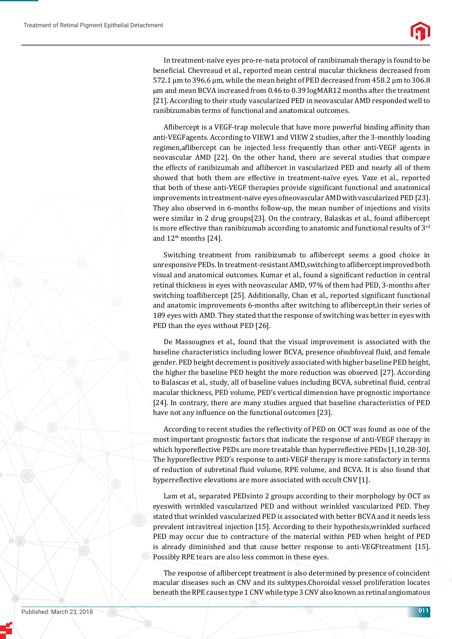

In treatment-naïve eyes pro-re-nata protocol of ranibizumab therapy is found to be beneficial. Chevreaud et al., reported mean central macular thickness decreased from 572.1 μm to 396.6 μm, while the mean height of PED decreased from 458.2 μm to 306.8 μm and mean BCVA increased from 0.46 to 0.39 logMAR12 months after the treatment [21]. According to their study vascularized PED in neovascular AMD responded well to ranibizumabin terms of functional and anatomical outcomes.

Aflibercept is a VEGF-trap molecule that have more powerful binding affinity than anti-VEGFagents. According to VIEW1 and VIEW 2 studies, after the 3-monthly loading regimen,aflibercept can be injected less frequently than other anti-VEGF agents in neovascular AMD [22]. On the other hand, there are several studies that compare the effects of ranibizumab and aflibercet in vascularized PED and nearly all of them showed that both them are effective in treatment-naïve eyes. Vaze et al., reported that both of these anti-VEGF therapies provide significant functional and anatomical improvements in treatment-naïve eyes ofneovascular AMD with vascularized PED [23]. They also observed in 6-months follow-up, the mean number of injections and visits were similar in 2 drug groups[23]. On the contrary, Balaskas et al., found aflibercept is more effective than ranibizumab according to anatomic and functional results of  $3<sup>rd</sup>$ and  $12<sup>th</sup>$  months [24].

Switching treatment from ranibizumab to aflibercept seems a good choice in unresponsive PEDs. In treatment-resistant AMD, switching to aflibercept improved both visual and anatomical outcomes. Kumar et al., found a significant reduction in central retinal thickness in eyes with neovascular AMD, 97% of them had PED, 3-months after switching toaflibercept [25]. Additionally, Chan et al., reported significant functional and anatomic improvements 6-months after switching to aflibercept, in their series of 189 eyes with AMD. They stated that the response of switching was better in eyes with PED than the eyes without PED [26].

De Massougnes et al., found that the visual improvement is associated with the baseline characteristics including lower BCVA, presence ofsubfoveal fluid, and female gender. PED height decrement is positively associated with higher baseline PED height, the higher the baseline PED height the more reduction was observed [27]. According to Balascas et al., study, all of baseline values including BCVA, subretinal fluid, central macular thickness, PED volume, PED's vertical dimension have prognostic importance [24]. In contrary, there are many studies argued that baseline characteristics of PED have not any influence on the functional outcomes [23].

According to recent studies the reflectivity of PED on OCT was found as one of the most important prognostic factors that indicate the response of anti-VEGF therapy in which hyporeflective PEDs are more treatable than hyperreflective PEDs [1,10,28-30]. The hyporeflective PED's response to anti-VEGF therapy is more satisfactory in terms of reduction of subretinal fluid volume, RPE volume, and BCVA. It is also found that hyperreflective elevations are more associated with occult CNV [1].

Lam et al., separated PEDsinto 2 groups according to their morphology by OCT as eyeswith wrinkled vascularized PED and without wrinkled vascularized PED. They stated that wrinkled vascularized PED is associated with better BCVA and it needs less prevalent intravitreal injection [15]. According to their hypothesis,wrinkled surfaced PED may occur due to contracture of the material within PED when height of PED is already diminished and that cause better response to anti-VEGFtreatment [15]. Possibly RPE tears are also less common in these eyes.

The response of aflibercept treatment is also determined by presence of coincident macular diseases such as CNV and its subtypes.Choroidal vessel proliferation locates beneath the RPE causes type 1 CNV while type 3 CNV also known as retinal angiomatous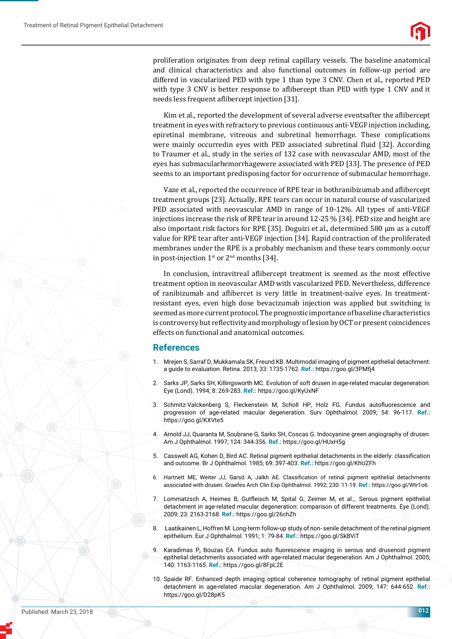proliferation originates from deep retinal capillary vessels. The baseline anatomical and clinical characteristics and also functional outcomes in follow-up period are differed in vascularized PED with type 1 than type 3 CNV. Chen et al., reported PED with type 3 CNV is better response to aflibercept than PED with type 1 CNV and it needs less frequent aflibercept injection [31].

Kim et al., reported the development of several adverse eventsafter the aflibercept treatment in eyes with refractory to previous continuous anti-VEGF injection including, epiretinal membrane, vitreous and subretinal hemorrhage. These complications were mainly occurredin eyes with PED associated subretinal fluid [32]. According to Traumer et al., study in the series of 132 case with neovascular AMD, most of the eyes has submacularhemorrhagewere associated with PED [33]. The presence of PED seems to an important predisposing factor for occurrence of submacular hemorrhage.

Vaze et al., reported the occurrence of RPE tear in bothranibizumab and aflibercept treatment groups [23]. Actually, RPE tears can occur in natural course of vascularized PED associated with neovascular AMD in range of 10-12%. All types of anti-VEGF injections increase the risk of RPE tear in around 12-25 % [34]. PED size and height are also important risk factors for RPE [35]. Doguizi et al., determined 580 μm as a cutoff value for RPE tear after anti-VEGF injection [34]. Rapid contraction of the proliferated membranes under the RPE is a probably mechanism and these tears commonly occur in post-injection  $1<sup>st</sup>$  or  $2<sup>nd</sup>$  months [34].

In conclusion, intravitreal aflibercept treatment is seemed as the most effective treatment option in neovascular AMD with vascularized PED. Nevertheless, difference of ranibizumab and aflibercet is very little in treatment-naïve eyes. In treatmentresistant eyes, even high dose bevacizumab injection was applied but switching is seemed as more current protocol. The prognostic importance of baseline characteristics is controversy but reflectivity and morphology of lesion by OCT or present coincidences effects on functional and anatomical outcomes.

### **References**

- 1. Mrejen S, Sarraf D, Mukkamala SK, Freund KB. Multimodal imaging of pigment epithelial detachment: a guide to evaluation. Retina. 2013; 33: 1735-1762. **Ref.:** https://goo.gl/3PMfj4
- 2. Sarks JP, Sarks SH, Killingsworth MC. Evolution of soft drusen in age-related macular degeneration. Eye (Lond). 1994; 8: 269-283. **Ref.:** https://goo.gl/KyUxNF
- 3. Schmitz-Valckenberg S, Fleckenstein M, Scholl HP, Holz FG. Fundus autofluorescence and progression of age-related macular degeneration. Surv Ophthalmol. 2009; 54: 96-117. **Ref.:** https://goo.gl/KXVte5
- 4. Arnold JJ, Quaranta M, Soubrane G, Sarks SH, Coscas G. Indocyanine green angiography of drusen. Am J Ophthalmol. 1997; 124: 344-356. **Ref.:** https://goo.gl/HUxH5g
- 5. Casswell AG, Kohen D, Bird AC. Retinal pigment epithelial detachments in the elderly: classification and outcome. Br J Ophthalmol. 1985; 69: 397-403. **Ref.:** https://goo.gl/KhUZFh
- 6. Hartnett ME, Weiter JJ, Garsd A, Jalkh AE. Classification of retinal pigment epithelial detachments associated with drusen. Graefes Arch Clin Exp Ophthalmol. 1992; 230: 11-19. **Ref.:** https://goo.gl/Wtr1o6
- 7. Lommatzsch A, Heimes B, Gutfleisch M, Spital G, Zeimer M, et al.,. Serous pigment epithelial detachment in age-related macular degeneration: comparison of different treatments. Eye (Lond). 2009; 23: 2163-2168. **Ref.:** https://goo.gl/26chZh
- 8. Laatikainen L, Hoffren M. Long-term follow-up study of non- senile detachment of the retinal pigment epithelium. Eur J Ophthalmol. 1991; 1: 79-84. **Ref.:** https://goo.gl/SkBViT
- 9. Karadimas P, Bouzas EA. Fundus auto fluorescence imaging in serous and drusenoid pigment epithelial detachments associated with age-related macular degeneration. Am J Ophthalmol. 2005; 140: 1163-1165. **Ref.:** https://goo.gl/8FpL2E
- 10. Spaide RF. Enhanced depth imaging optical coherence tomography of retinal pigment epithelial detachment in age-related macular degeneration. Am J Ophthalmol. 2009; 147: 644-652. **Ref.:** https://goo.gl/D28pK5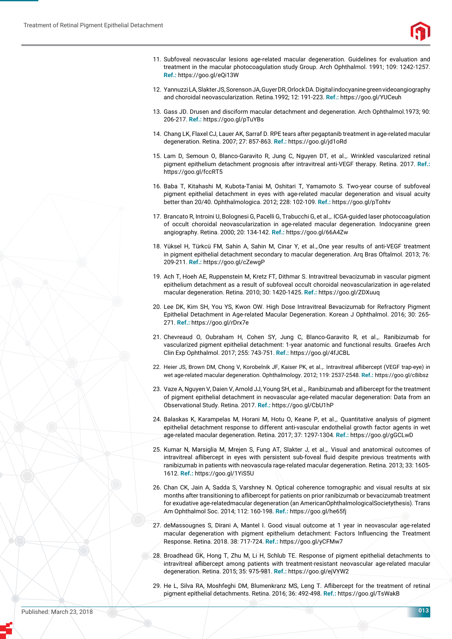

- 11. Subfoveal neovascular lesions age-related macular degeneration. Guidelines for evaluation and treatment in the macular photocoagulation study Group. Arch Ophthalmol. 1991; 109: 1242-1257. **Ref.:** https://goo.gl/eQi13W
- 12. Yannuzzi LA, Slakter JS, Sorenson JA, Guyer DR, Orlock DA. Digital indocyanine green videoangiography and choroidal neovascularization. Retina.1992; 12: 191-223. **Ref.:** https://goo.gl/YUCeuh
- 13. Gass JD. Drusen and disciform macular detachment and degeneration. Arch Ophthalmol.1973; 90: 206-217. **Ref.:** https://goo.gl/pTuYBs
- 14. Chang LK, Flaxel CJ, Lauer AK, Sarraf D. RPE tears after pegaptanib treatment in age-related macular degeneration. Retina. 2007; 27: 857-863. **Ref.:** https://goo.gl/jd1oRd
- 15. Lam D, Semoun O, Blanco-Garavito R, Jung C, Nguyen DT, et al.,. Wrinkled vascularized retinal pigment epithelium detachment prognosis after intravitreal anti-VEGF therapy. Retina. 2017. **Ref.:** https://goo.gl/fccRT5
- 16. Baba T, Kitahashi M, Kubota-Taniai M, Oshitari T, Yamamoto S. Two-year course of subfoveal pigment epithelial detachment in eyes with age-related macular degeneration and visual acuity better than 20/40. Ophthalmologica. 2012; 228: 102-109. **Ref.:** https://goo.gl/pTohtv
- 17. Brancato R, Introini U, Bolognesi G, Pacelli G, Trabucchi G, et al.,. ICGA-guided laser photocoagulation of occult choroidal neovascularization in age-related macular degeneration. Indocyanine green angiography. Retina. 2000; 20: 134-142. **Ref.:** https://goo.gl/66A4Zw
- 18. Yüksel H, Türkcü FM, Sahin A, Sahin M, Cinar Y, et al.,.One year results of anti-VEGF treatment in pigment epithelial detachment secondary to macular degeneration. Arq Bras Oftalmol. 2013; 76: 209-211. **Ref.:** https://goo.gl/cZewgP
- 19. Ach T, Hoeh AE, Ruppenstein M, Kretz FT, Dithmar S. Intravitreal bevacizumab in vascular pigment epithelium detachment as a result of subfoveal occult choroidal neovascularization in age-related macular degeneration. Retina. 2010; 30: 1420-1425. **Ref.:** https://goo.gl/ZDXuuq
- 20. Lee DK, Kim SH, You YS, Kwon OW. High Dose Intravitreal Bevacizumab for Refractory Pigment Epithelial Detachment in Age-related Macular Degeneration. Korean J Ophthalmol. 2016; 30: 265- 271. **Ref.:** https://goo.gl/rDrx7e
- 21. Chevreaud O, Oubraham H, Cohen SY, Jung C, Blanco-Garavito R, et al.,. Ranibizumab for vascularized pigment epithelial detachment: 1-year anatomic and functional results. Graefes Arch Clin Exp Ophthalmol. 2017; 255: 743-751. **Ref.:** https://goo.gl/4fJCBL
- 22. Heier JS, Brown DM, Chong V, Korobelnik JF, Kaiser PK, et al.,. Intravitreal aflibercept (VEGF trap-eye) in wet age-related macular degeneration. Ophthalmology. 2012; 119: 2537-2548. **Ref.:** https://goo.gl/c8ibsz
- 23. Vaze A, Nguyen V, Daien V, Arnold JJ, Young SH, et al.,. Ranibizumab and aflibercept for the treatment of pigment epithelial detachment in neovascular age-related macular degeneration: Data from an Observational Study. Retina. 2017. **Ref.:** https://goo.gl/CbU1hP
- 24. Balaskas K, Karampelas M, Horani M, Hotu O, Keane P, et al.,. Quantitative analysis of pigment epithelial detachment response to different anti-vascular endothelial growth factor agents in wet age-related macular degeneration. Retina. 2017; 37: 1297-1304. **Ref.:** https://goo.gl/gGCLwD
- 25. Kumar N, Marsiglia M, Mrejen S, Fung AT, Slakter J, et al.,. Visual and anatomical outcomes of intravitreal aflibercept in eyes with persistent sub-foveal fluid despite previous treatments with ranibizumab in patients with neovascula rage-related macular degeneration. Retina. 2013; 33: 1605- 1612. **Ref.:** https://goo.gl/1YiS5U
- 26. Chan CK, Jain A, Sadda S, Varshney N. Optical coherence tomographic and visual results at six months after transitioning to aflibercept for patients on prior ranibizumab or bevacizumab treatment for exudative age-relatedmacular degeneration (an AmericanOphthalmologicalSocietythesis). Trans Am Ophthalmol Soc. 2014; 112: 160-198. **Ref.:** https://goo.gl/he65fj
- 27. deMassougnes S, Dirani A, Mantel I. Good visual outcome at 1 year in neovascular age-related macular degeneration with pigment epithelium detachment: Factors Influencing the Treatment Response. Retina. 2018. 38: 717-724. **Ref.:** https://goo.gl/yCFMw7
- 28. Broadhead GK, Hong T, Zhu M, Li H, Schlub TE. Response of pigment epithelial detachments to intravitreal aflibercept among patients with treatment-resistant neovascular age-related macular degeneration. Retina. 2015; 35: 975-981. **Ref.:** https://goo.gl/ejVYW2
- 29. He L, Silva RA, Moshfeghi DM, Blumenkranz MS, Leng T. Aflibercept for the treatment of retinal pigment epithelial detachments. Retina. 2016; 36: 492-498. **Ref.:** https://goo.gl/TsWakB